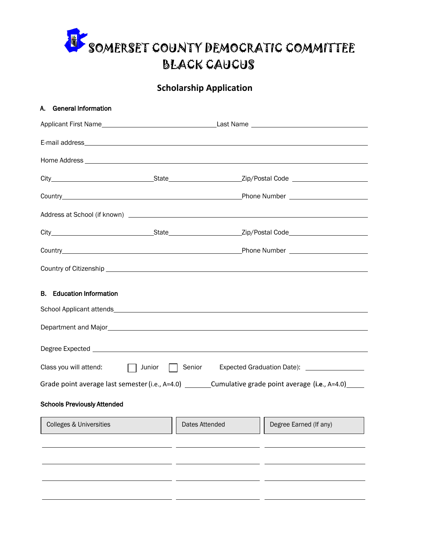

## **Scholarship Application**

|                                                                                                     | A. General Information                                                                                        |                                                                                                                                                                                                                                      |                |                                                                                                                                                                                                                                                                |  |  |
|-----------------------------------------------------------------------------------------------------|---------------------------------------------------------------------------------------------------------------|--------------------------------------------------------------------------------------------------------------------------------------------------------------------------------------------------------------------------------------|----------------|----------------------------------------------------------------------------------------------------------------------------------------------------------------------------------------------------------------------------------------------------------------|--|--|
|                                                                                                     |                                                                                                               |                                                                                                                                                                                                                                      |                |                                                                                                                                                                                                                                                                |  |  |
|                                                                                                     |                                                                                                               |                                                                                                                                                                                                                                      |                |                                                                                                                                                                                                                                                                |  |  |
|                                                                                                     |                                                                                                               |                                                                                                                                                                                                                                      |                |                                                                                                                                                                                                                                                                |  |  |
|                                                                                                     |                                                                                                               |                                                                                                                                                                                                                                      |                |                                                                                                                                                                                                                                                                |  |  |
|                                                                                                     |                                                                                                               |                                                                                                                                                                                                                                      |                |                                                                                                                                                                                                                                                                |  |  |
|                                                                                                     |                                                                                                               |                                                                                                                                                                                                                                      |                |                                                                                                                                                                                                                                                                |  |  |
|                                                                                                     |                                                                                                               |                                                                                                                                                                                                                                      |                |                                                                                                                                                                                                                                                                |  |  |
|                                                                                                     |                                                                                                               |                                                                                                                                                                                                                                      |                |                                                                                                                                                                                                                                                                |  |  |
|                                                                                                     |                                                                                                               |                                                                                                                                                                                                                                      |                |                                                                                                                                                                                                                                                                |  |  |
| <b>B.</b> Education Information                                                                     |                                                                                                               |                                                                                                                                                                                                                                      |                |                                                                                                                                                                                                                                                                |  |  |
|                                                                                                     |                                                                                                               |                                                                                                                                                                                                                                      |                |                                                                                                                                                                                                                                                                |  |  |
|                                                                                                     |                                                                                                               |                                                                                                                                                                                                                                      |                |                                                                                                                                                                                                                                                                |  |  |
| Class you will attend: $\Box$ Junior $\Box$ Senior<br>Expected Graduation Date): __________________ |                                                                                                               |                                                                                                                                                                                                                                      |                |                                                                                                                                                                                                                                                                |  |  |
|                                                                                                     | Grade point average last semester (i.e., A=4.0) __________Cumulative grade point average (i.e., A=4.0) ______ |                                                                                                                                                                                                                                      |                |                                                                                                                                                                                                                                                                |  |  |
| <b>Schools Previously Attended</b>                                                                  |                                                                                                               |                                                                                                                                                                                                                                      |                |                                                                                                                                                                                                                                                                |  |  |
|                                                                                                     | Colleges & Universities                                                                                       | <u> The Common Section of the Common Section of the Common Section of the Common Section of the Common Section of the Common Section of the Common Section of the Common Section of the Common Section of the Common Section of </u> | Dates Attended | <u> The Common Section of the Common Section of the Common Section of the Common Section of the Common Section of the Common Section of the Common Section of the Common Section of the Common Section of the Common Section of </u><br>Degree Earned (If any) |  |  |
|                                                                                                     |                                                                                                               |                                                                                                                                                                                                                                      |                |                                                                                                                                                                                                                                                                |  |  |
|                                                                                                     |                                                                                                               |                                                                                                                                                                                                                                      |                |                                                                                                                                                                                                                                                                |  |  |
|                                                                                                     |                                                                                                               |                                                                                                                                                                                                                                      |                |                                                                                                                                                                                                                                                                |  |  |
|                                                                                                     |                                                                                                               |                                                                                                                                                                                                                                      |                |                                                                                                                                                                                                                                                                |  |  |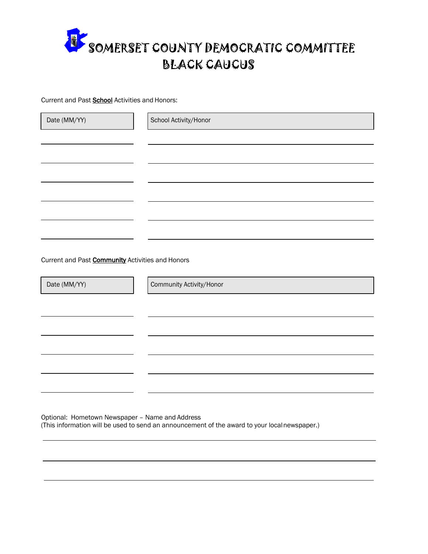

Current and Past **School** Activities and Honors:

| Date (MM/YY)                                            | School Activity/Honor    |  |
|---------------------------------------------------------|--------------------------|--|
|                                                         |                          |  |
|                                                         |                          |  |
|                                                         |                          |  |
|                                                         |                          |  |
|                                                         |                          |  |
|                                                         |                          |  |
|                                                         |                          |  |
| Current and Past <b>Community</b> Activities and Honors |                          |  |
| Date (MM/YY)                                            | Community Activity/Honor |  |
|                                                         |                          |  |
|                                                         |                          |  |
|                                                         |                          |  |
|                                                         |                          |  |
|                                                         |                          |  |
|                                                         |                          |  |

Optional: Hometown Newspaper – Name and Address (This information will be used to send an announcement of the award to your localnewspaper.)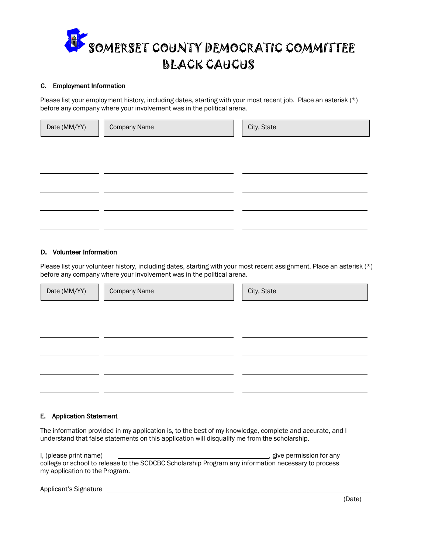

## C. Employment Information

Please list your employment history, including dates, starting with your most recent job. Place an asterisk (\*) before any company where your involvement was in the political arena.

| Date (MM/YY) | <b>Company Name</b> | City, State |
|--------------|---------------------|-------------|
|              |                     |             |
|              |                     |             |
|              |                     |             |
|              |                     |             |
|              |                     |             |

## D. Volunteer Information

Please list your volunteer history, including dates, starting with your most recent assignment. Place an asterisk (\*) before any company where your involvement was in the political arena.

| Date (MM/YY) | <b>Company Name</b> | City, State |
|--------------|---------------------|-------------|
|              |                     |             |
|              |                     |             |
|              |                     |             |
|              |                     |             |
|              |                     |             |

## E. Application Statement

The information provided in my application is, to the best of my knowledge, complete and accurate, and I understand that false statements on this application will disqualify me from the scholarship.

I, (please print name)  $\qquad \qquad \qquad$  give permission for any college or school to release to the SCDCBC Scholarship Program any information necessary to process my application to the Program.

Applicant's Signature